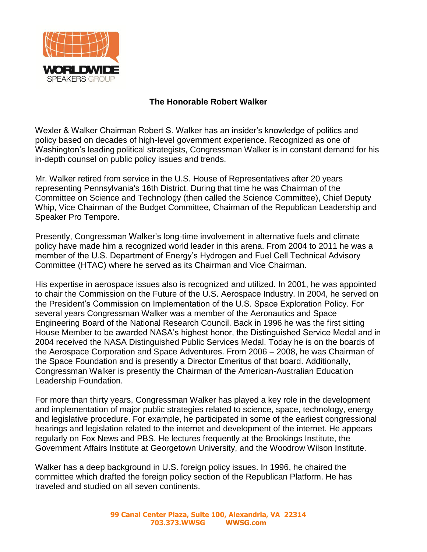

## **The Honorable Robert Walker**

Wexler & Walker Chairman Robert S. Walker has an insider's knowledge of politics and policy based on decades of high-level government experience. Recognized as one of Washington's leading political strategists, Congressman Walker is in constant demand for his in-depth counsel on public policy issues and trends.

Mr. Walker retired from service in the U.S. House of Representatives after 20 years representing Pennsylvania's 16th District. During that time he was Chairman of the Committee on Science and Technology (then called the Science Committee), Chief Deputy Whip, Vice Chairman of the Budget Committee, Chairman of the Republican Leadership and Speaker Pro Tempore.

Presently, Congressman Walker's long-time involvement in alternative fuels and climate policy have made him a recognized world leader in this arena. From 2004 to 2011 he was a member of the U.S. Department of Energy's Hydrogen and Fuel Cell Technical Advisory Committee (HTAC) where he served as its Chairman and Vice Chairman.

His expertise in aerospace issues also is recognized and utilized. In 2001, he was appointed to chair the Commission on the Future of the U.S. Aerospace Industry. In 2004, he served on the President's Commission on Implementation of the U.S. Space Exploration Policy. For several years Congressman Walker was a member of the Aeronautics and Space Engineering Board of the National Research Council. Back in 1996 he was the first sitting House Member to be awarded NASA's highest honor, the Distinguished Service Medal and in 2004 received the NASA Distinguished Public Services Medal. Today he is on the boards of the Aerospace Corporation and Space Adventures. From 2006 – 2008, he was Chairman of the Space Foundation and is presently a Director Emeritus of that board. Additionally, Congressman Walker is presently the Chairman of the American-Australian Education Leadership Foundation.

For more than thirty years, Congressman Walker has played a key role in the development and implementation of major public strategies related to science, space, technology, energy and legislative procedure. For example, he participated in some of the earliest congressional hearings and legislation related to the internet and development of the internet. He appears regularly on Fox News and PBS. He lectures frequently at the Brookings Institute, the Government Affairs Institute at Georgetown University, and the Woodrow Wilson Institute.

Walker has a deep background in U.S. foreign policy issues. In 1996, he chaired the committee which drafted the foreign policy section of the Republican Platform. He has traveled and studied on all seven continents.